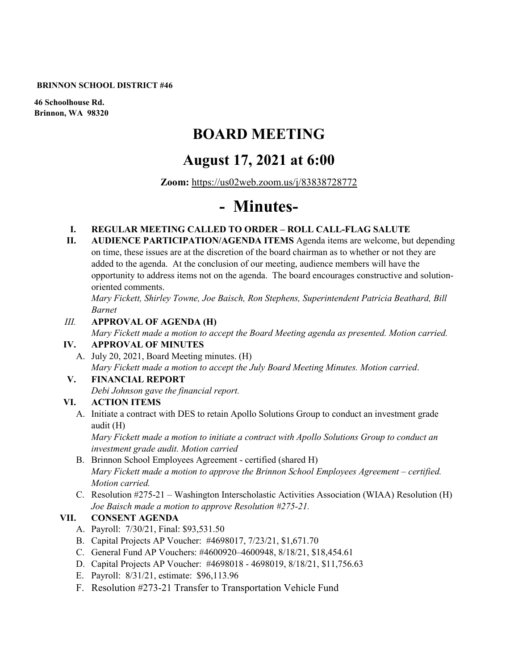#### **BRINNON SCHOOL DISTRICT #46**

**46 Schoolhouse Rd. Brinnon, WA 98320**

# **BOARD MEETING**

## **August 17, 2021 at 6:00**

**Zoom:** <https://us02web.zoom.us/j/83838728772>

# **- Minutes-**

#### **I. REGULAR MEETING CALLED TO ORDER – ROLL CALL-FLAG SALUTE**

**II. AUDIENCE PARTICIPATION/AGENDA ITEMS** Agenda items are welcome, but depending on time, these issues are at the discretion of the board chairman as to whether or not they are added to the agenda. At the conclusion of our meeting, audience members will have the opportunity to address items not on the agenda. The board encourages constructive and solutionoriented comments.

*Mary Fickett, Shirley Towne, Joe Baisch, Ron Stephens, Superintendent Patricia Beathard, Bill Barnet* 

#### *III.* **APPROVAL OF AGENDA (H)**

*Mary Fickett made a motion to accept the Board Meeting agenda as presented. Motion carried.*  **IV. APPROVAL OF MINUTES**

A. July 20, 2021, Board Meeting minutes. (H) *Mary Fickett made a motion to accept the July Board Meeting Minutes. Motion carried*.

# **V. FINANCIAL REPORT**

*Debi Johnson gave the financial report.* 

#### **VI. ACTION ITEMS**

A. Initiate a contract with DES to retain Apollo Solutions Group to conduct an investment grade audit (H)

*Mary Fickett made a motion to initiate a contract with Apollo Solutions Group to conduct an investment grade audit. Motion carried*

- B. Brinnon School Employees Agreement certified (shared H) *Mary Fickett made a motion to approve the Brinnon School Employees Agreement – certified. Motion carried.*
- C. Resolution #275-21 Washington Interscholastic Activities Association (WIAA) Resolution (H) *Joe Baisch made a motion to approve Resolution #275-21.*

#### **VII. CONSENT AGENDA**

- A. Payroll: 7/30/21, Final: \$93,531.50
- B. Capital Projects AP Voucher: #4698017, 7/23/21, \$1,671.70
- C. General Fund AP Vouchers: #4600920–4600948, 8/18/21, \$18,454.61
- D. Capital Projects AP Voucher: #4698018 4698019, 8/18/21, \$11,756.63
- E. Payroll: 8/31/21, estimate: \$96,113.96
- F. Resolution #273-21 Transfer to Transportation Vehicle Fund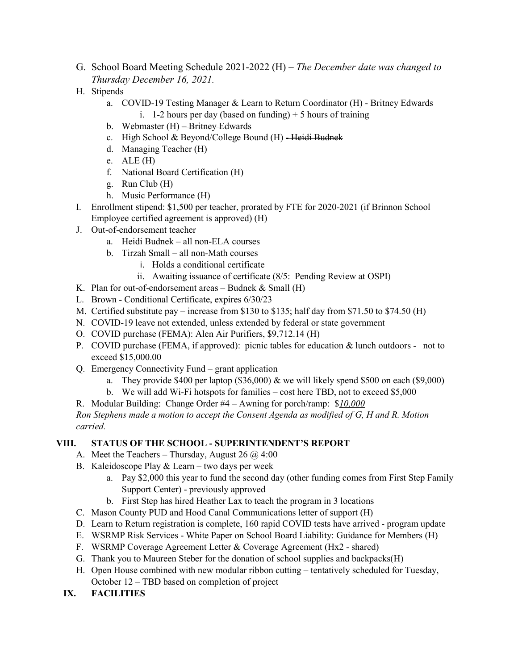- G. School Board Meeting Schedule 2021-2022 (H) *The December date was changed to Thursday December 16, 2021.*
- H. Stipends
	- a. COVID-19 Testing Manager & Learn to Return Coordinator (H) Britney Edwards i. 1-2 hours per day (based on funding)  $+5$  hours of training
	- b. Webmaster (H) Britney Edwards
	- c. High School & Beyond/College Bound  $(H)$  -Heidi Budnek
	- d. Managing Teacher (H)
	- e. ALE (H)
	- f. National Board Certification (H)
	- g. Run Club (H)
	- h. Music Performance (H)
- I. Enrollment stipend: \$1,500 per teacher, prorated by FTE for 2020-2021 (if Brinnon School Employee certified agreement is approved) (H)
- J. Out-of-endorsement teacher
	- a. Heidi Budnek all non-ELA courses
	- b. Tirzah Small all non-Math courses
		- i. Holds a conditional certificate
		- ii. Awaiting issuance of certificate (8/5: Pending Review at OSPI)
- K. Plan for out-of-endorsement areas  $-$  Budnek & Small (H)
- L. Brown Conditional Certificate, expires 6/30/23
- M. Certified substitute pay increase from \$130 to \$135; half day from \$71.50 to \$74.50 (H)
- N. COVID-19 leave not extended, unless extended by federal or state government
- O. COVID purchase (FEMA): Alen Air Purifiers, \$9,712.14 (H)
- P. COVID purchase (FEMA, if approved): picnic tables for education & lunch outdoors not to exceed \$15,000.00
- Q. Emergency Connectivity Fund grant application
	- a. They provide \$400 per laptop  $(\$36,000)$  & we will likely spend \$500 on each  $(\$9,000)$
	- b. We will add Wi-Fi hotspots for families cost here TBD, not to exceed \$5,000
- R. Modular Building: Change Order #4 Awning for porch/ramp: \$*10,000*

*Ron Stephens made a motion to accept the Consent Agenda as modified of G, H and R. Motion carried.*

#### **VIII. STATUS OF THE SCHOOL - SUPERINTENDENT'S REPORT**

- A. Meet the Teachers Thursday, August 26  $\omega$  4:00
- B. Kaleidoscope Play & Learn two days per week
	- a. Pay \$2,000 this year to fund the second day (other funding comes from First Step Family Support Center) - previously approved
	- b. First Step has hired Heather Lax to teach the program in 3 locations
- C. Mason County PUD and Hood Canal Communications letter of support (H)
- D. Learn to Return registration is complete, 160 rapid COVID tests have arrived program update
- E. WSRMP Risk Services White Paper on School Board Liability: Guidance for Members (H)
- F. WSRMP Coverage Agreement Letter & Coverage Agreement (Hx2 shared)
- G. Thank you to Maureen Steber for the donation of school supplies and backpacks(H)
- H. Open House combined with new modular ribbon cutting tentatively scheduled for Tuesday, October 12 – TBD based on completion of project
- **IX. FACILITIES**